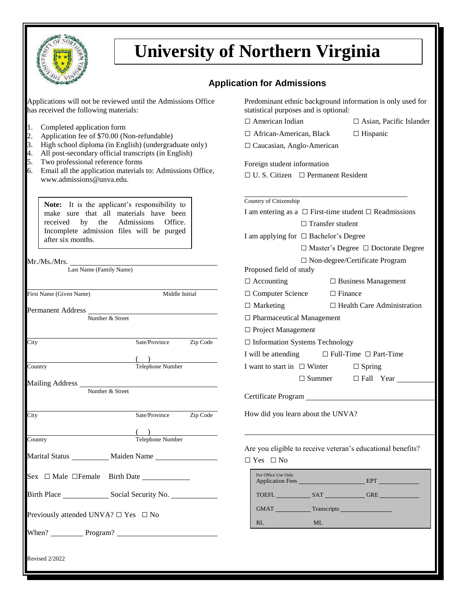

## **University of Northern Virginia**

## **Application for Admissions**

| Applications will not be reviewed until the Admissions Office<br>has received the following materials:                    | Predominant ethnic background information is only used for<br>statistical purposes and is optional: |  |  |  |
|---------------------------------------------------------------------------------------------------------------------------|-----------------------------------------------------------------------------------------------------|--|--|--|
|                                                                                                                           | $\Box$ American Indian<br>$\Box$ Asian, Pacific Islander                                            |  |  |  |
| 1.<br>Completed application form<br>Application fee of \$70.00 (Non-refundable)<br>2.                                     | $\Box$ African-American, Black<br>$\Box$ Hispanic                                                   |  |  |  |
| High school diploma (in English) (undergraduate only)<br>3.<br>4.<br>All post-secondary official transcripts (in English) | $\Box$ Caucasian, Anglo-American                                                                    |  |  |  |
| 5.<br>Two professional reference forms                                                                                    | Foreign student information                                                                         |  |  |  |
| Email all the application materials to: Admissions Office,<br>6.                                                          | $\Box$ U. S. Citizen $\Box$ Permanent Resident                                                      |  |  |  |
| www.admissions@unva.edu.                                                                                                  |                                                                                                     |  |  |  |
|                                                                                                                           | Country of Citizenship                                                                              |  |  |  |
| Note: It is the applicant's responsibility to<br>make sure that all materials have been                                   | I am entering as a $\Box$ First-time student $\Box$ Readmissions                                    |  |  |  |
| by<br>the<br>Admissions<br>received<br>Office.                                                                            | $\Box$ Transfer student<br>I am applying for $\Box$ Bachelor's Degree                               |  |  |  |
| Incomplete admission files will be purged<br>after six months.                                                            |                                                                                                     |  |  |  |
|                                                                                                                           | $\Box$ Master's Degree $\Box$ Doctorate Degree                                                      |  |  |  |
|                                                                                                                           | $\Box$ Non-degree/Certificate Program                                                               |  |  |  |
| Last Name (Family Name)                                                                                                   | Proposed field of study                                                                             |  |  |  |
|                                                                                                                           | $\Box$ Accounting<br>$\Box$ Business Management                                                     |  |  |  |
| First Name (Given Name)<br>Middle Initial                                                                                 | $\Box$ Computer Science<br>$\Box$ Finance                                                           |  |  |  |
|                                                                                                                           | $\Box$ Marketing<br>$\Box$ Health Care Administration                                               |  |  |  |
| Permanent Address<br>Number & Street                                                                                      | $\Box$ Pharmaceutical Management                                                                    |  |  |  |
|                                                                                                                           | □ Project Management                                                                                |  |  |  |
| Zip Code<br>City<br>Sate/Province                                                                                         | □ Information Systems Technology                                                                    |  |  |  |
|                                                                                                                           | I will be attending<br>$\Box$ Full-Time $\Box$ Part-Time                                            |  |  |  |
| Telephone Number<br>Country                                                                                               | I want to start in $\Box$ Winter<br>$\Box$ Spring                                                   |  |  |  |
|                                                                                                                           | $\Box$ Summer<br>$\Box$ Fall Year $\Box$                                                            |  |  |  |
| Mailing Address Mumber & Street                                                                                           |                                                                                                     |  |  |  |
|                                                                                                                           |                                                                                                     |  |  |  |
| Sate/Province<br>Zip Code<br>City                                                                                         | How did you learn about the UNVA?                                                                   |  |  |  |
| (                                                                                                                         |                                                                                                     |  |  |  |
| Country<br>Telephone Number                                                                                               |                                                                                                     |  |  |  |
|                                                                                                                           | Are you eligible to receive veteran's educational benefits?                                         |  |  |  |
|                                                                                                                           | $\Box$ Yes $\Box$ No                                                                                |  |  |  |
| $Sex \Box$ Male $\Box$ Female Birth Date $\Box$                                                                           | For Office Use Only<br>Application Fees <b>EPT</b>                                                  |  |  |  |
| Birth Place Social Security No.                                                                                           |                                                                                                     |  |  |  |
|                                                                                                                           | GMAT Transcripts Transcripts                                                                        |  |  |  |
| Previously attended UNVA? $\Box$ Yes $\Box$ No                                                                            | RL<br>ML                                                                                            |  |  |  |
| When? Program? Processors Program?                                                                                        |                                                                                                     |  |  |  |
|                                                                                                                           |                                                                                                     |  |  |  |
| <b>Revised 2/2022</b>                                                                                                     |                                                                                                     |  |  |  |